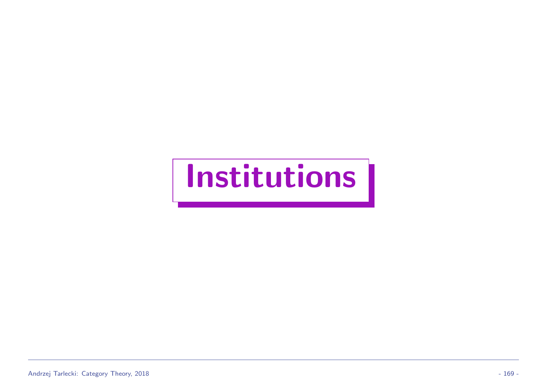# Institutions |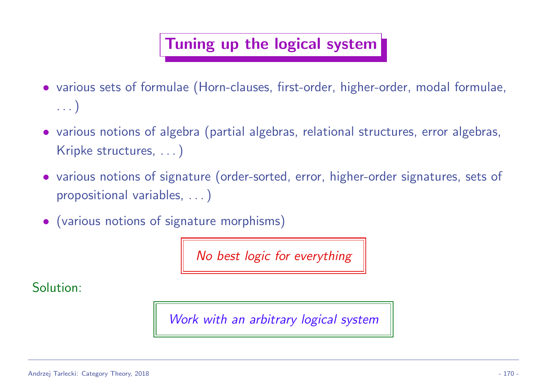### Tuning up the logical system

- various sets of formulae (Horn-clauses, first-order, higher-order, modal formulae, . . . )
- various notions of algebra (partial algebras, relational structures, error algebras, Kripke structures, ...)
- various notions of signature (order-sorted, error, higher-order signatures, sets of propositional variables, . . . )
- (various notions of signature morphisms)

No best logic for everything

Solution:

Work with an arbitrary logical system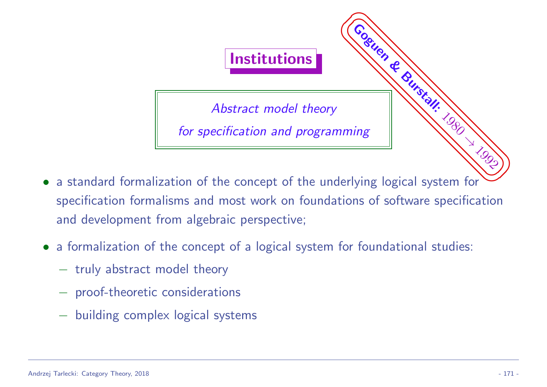

- ✌ ✠ a standard formalization of the concept of the underlying logical system for specification formalisms and most work on foundations of software specification and development from algebraic perspective;
- a formalization of the concept of a logical system for foundational studies:
	- − truly abstract model theory
	- − proof-theoretic considerations
	- − building complex logical systems

☞

i 1990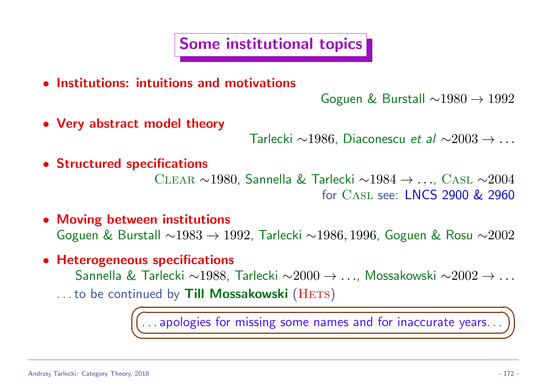Some institutional topics

• Institutions: intuitions and motivations

Goguen & Burstall ∼1980 → 1992

• Very abstract model theory

Tarlecki ∼1986, Diaconescu et al ∼2003 → . . .

• Structured specifications

Clear ∼1980, Sannella & Tarlecki ∼1984 → . . ., Casl ∼2004 for Casl see: LNCS 2900 & 2960

• Moving between institutions

Goguen & Burstall ∼1983 → 1992, Tarlecki ∼1986, 1996, Goguen & Rosu ∼2002

• Heterogeneous specifications

✍

- Sannella & Tarlecki ∼1988, Tarlecki ∼2000 → . . ., Mossakowski ∼2002 → . . .
- ...to be continued by Till Mossakowski (HETS)  $\sqrt{2}$

☛  $\overline{\phantom{0}}$  $\dots$  apologies for missing some names and for inaccurate years...)

☞

 $\sum_{i=1}^{n}$ 

t<br>≫ilian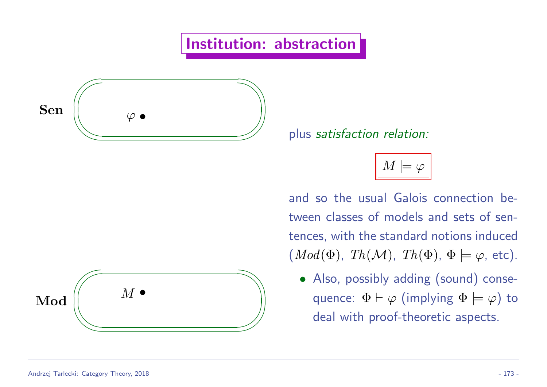### Institution: abstraction





plus s plus satisfaction relation:

 $M \models \varphi$ 

and so the usual Galois connection between classes of models and sets of sentences, with the standard notions induced  $(Mod(\Phi), Th(\mathcal{M}), Th(\Phi), \Phi \models \varphi$ , etc).

• Also, possibly adding (sound) consequence:  $\Phi \vdash \varphi$  (implying  $\Phi \models \varphi$ ) to deal with proof-theoretic aspects.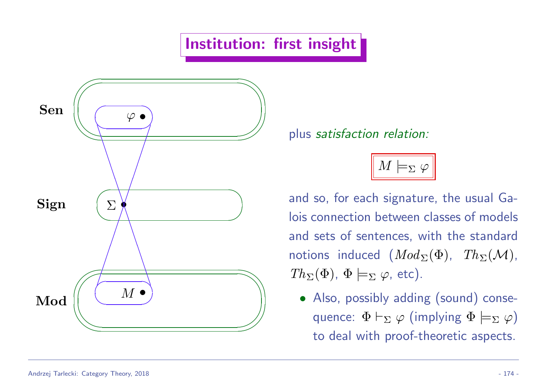### Institution: first insight



plus s

 $M \models_{\Sigma} \varphi$ 

 $Th_{\Sigma}(\Phi)$ ,  $\Phi \models_{\Sigma} \varphi$ , etc). and so, for each signature, the usual Galois connection between classes of models and sets of sentences, with the standard notions induced  $(Mod_{\Sigma}(\Phi), Th_{\Sigma}(\mathcal{M}),$ 

on a construction.<br>External de la construction de la construction de la construction de la construction de la construction de la • Also, possibly adding (sound) consequence:  $\Phi \vdash_{\Sigma} \varphi$  (implying  $\Phi \models_{\Sigma} \varphi$ ) to deal with proof-theoretic aspects.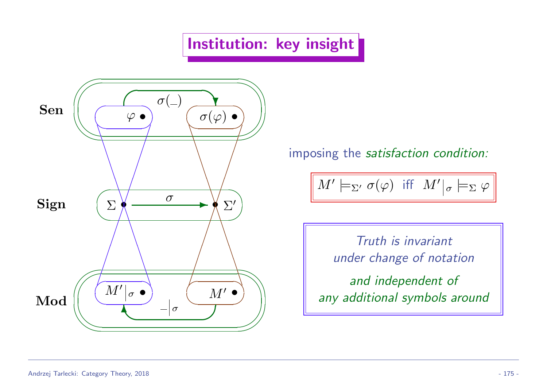### Institution: key insight



imposing the satisfaction condition:

$$
M' \models_{\Sigma'} \sigma(\varphi) \text{ iff } M' \vert_{\sigma} \models_{\Sigma} \varphi
$$

Truth is invariant under change of notation and independent of any additional symbols around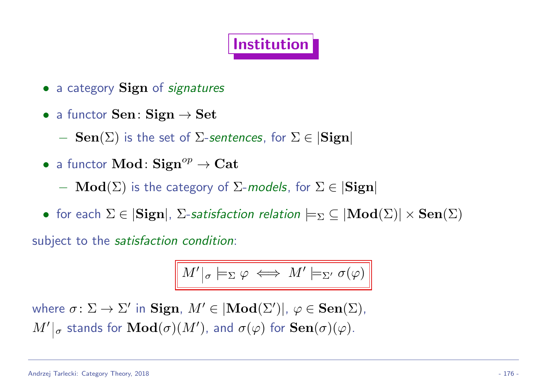### Institution

- a category **Sign** of *signatures*
- a functor  $Sen: Sign \rightarrow Set$

 $-$  Sen( $\Sigma$ ) is the set of  $\Sigma$ -sentences, for  $\Sigma \in |\mathbf{Sign}|$ 

• a functor  $\mathbf{Mod} \colon \mathbf{Sign}^{op} \to \mathbf{Cat}$ 

 $-\textbf{Mod}(\Sigma)$  is the category of  $\Sigma$ -models, for  $\Sigma \in |\mathbf{Sign}|$ 

• for each  $\Sigma \in |\mathbf{Sign}|$ ,  $\Sigma$ -satisfaction relation  $\models_{\Sigma} \subseteq |\mathbf{Mod}(\Sigma)| \times \mathbf{Sen}(\Sigma)$ 

subject to the satisfaction condition:

$$
M'|_{\sigma} \models_{\Sigma} \varphi \iff M' \models_{\Sigma'} \sigma(\varphi)
$$

where  $\sigma \colon \Sigma \to \Sigma'$  in  $\textbf{Sign}, M' \in |\textbf{Mod}(\Sigma')|, \ \varphi \in \textbf{Sen}(\Sigma)$ ,  $\|M'\|_{\sigma}$  stands for  $\mathbf{Mod}(\sigma)(M')$ , and  $\sigma(\varphi)$  for  $\mathbf{Sen}(\sigma)(\varphi).$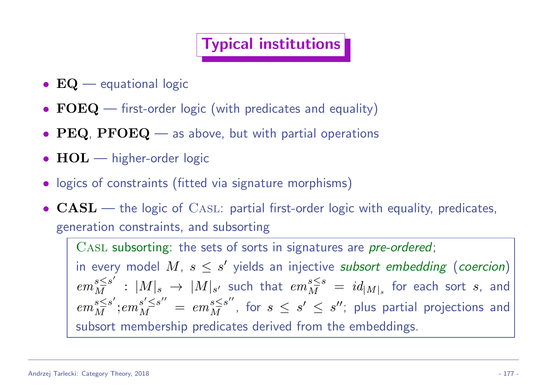### Typical institutions

- $EQ$  equational logic
- FOEQ first-order logic (with predicates and equality)
- PEQ, PFOEQ as above, but with partial operations
- $HOL$  higher-order logic
- logics of constraints (fitted via signature morphisms)
- $CASL$  the logic of  $CASL$ : partial first-order logic with equality, predicates, generation constraints, and subsorting

CASL subsorting: the sets of sorts in signatures are pre-ordered; in every model M,  $s \leq s'$  yields an injective subsort embedding (coercion)  $em_M^{s\leq s'} \,:\, |M|_s \,\rightarrow \, |M|_{s'}$  such that  $em_M^{s\leq s}$  $\frac{s \leq s}{M} \; = \; id_{|M|_s} \;$  for each sort  $s$ , and  $em_M^{s \leq s'}$  $\frac{s}{M}^{\leq s'}$ ;  $em_M^{s'\leq s''}$  $\frac{s'\leq s''}{M} \;=\; em\frac{s\leq s''}{M},\;$  for  $\;s\;\leq\;s'\;\leq\;s'' ;\;$  plus partial projections and subsort membership predicates derived from the embeddings.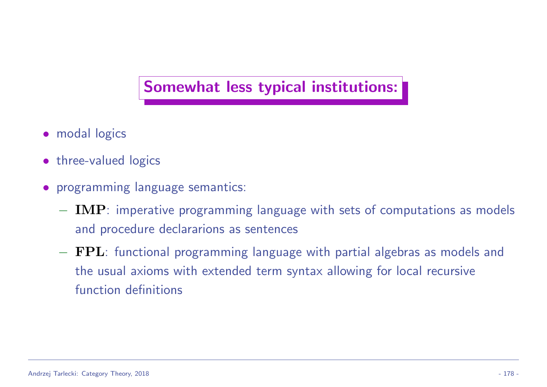#### Somewhat less typical institutions:

- modal logics
- three-valued logics
- programming language semantics:
	- $-$  IMP: imperative programming language with sets of computations as models and procedure declararions as sentences
	- − FPL: functional programming language with partial algebras as models and the usual axioms with extended term syntax allowing for local recursive function definitions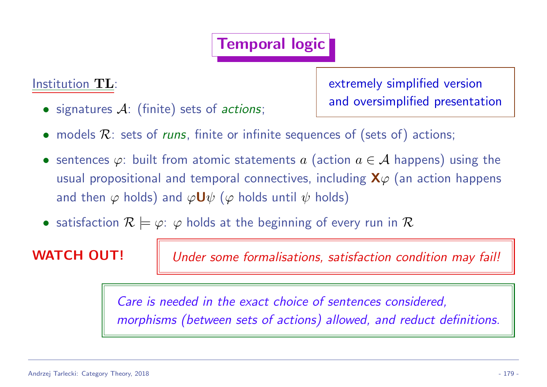### Temporal logic

Institution TL:

 $\bullet$  signatures  $\mathcal{A}$ : (finite) sets of actions;

extremely simplified version and oversimplified presentation

- models  $\mathcal{R}$ : sets of *runs*, finite or infinite sequences of (sets of) actions;
- sentences  $\varphi$ : built from atomic statements  $a$  (action  $a \in \mathcal{A}$  happens) using the usual propositional and temporal connectives, including  $X\varphi$  (an action happens and then  $\varphi$  holds) and  $\varphi \mathbf{U} \psi$  ( $\varphi$  holds until  $\psi$  holds)
- satisfaction  $\mathcal{R} \models \varphi: \varphi$  holds at the beginning of every run in  $\mathcal{R}$

WATCH OUT! | Under some formalisations, satisfaction condition may fail!

Care is needed in the exact choice of sentences considered, morphisms (between sets of actions) allowed, and reduct definitions.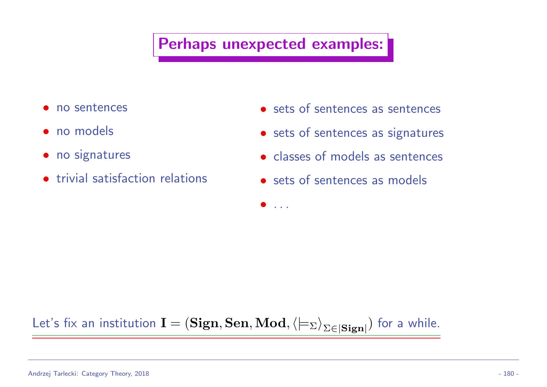### Perhaps unexpected examples:

- no sentences
- no models
- no signatures
- trivial satisfaction relations
- sets of sentences as sentences
- sets of sentences as signatures
- classes of models as sentences
- sets of sentences as models

• . . .

#### Let's fix an institution  $\mathbf{I} = (\mathbf{Sign}, \mathbf{Sen}, \mathbf{Mod}, \langle\models_{\Sigma}\rangle_{\Sigma \in |\mathbf{Sign}|})$  for a while.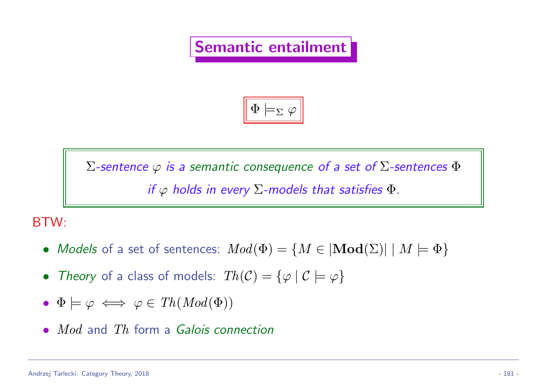### Semantic entailment

$$
\boxed{\Phi \models_\Sigma \varphi}
$$

Σ-sentence  $\varphi$  is a semantic consequence of a set of  $\Sigma$ -sentences  $\Phi$ if  $\varphi$  holds in every  $\Sigma$ -models that satisfies  $\Phi$ .

#### BTW:

- Models of a set of sentences:  $Mod(\Phi) = \{ M \in |\mathbf{Mod}(\Sigma)| \mid M \models \Phi \}$
- Theory of a class of models:  $Th(\mathcal{C}) = {\varphi \mid \mathcal{C} \models \varphi}$
- $\Phi \models \varphi \iff \varphi \in Th(Mod(\Phi))$
- *Mod* and *Th* form a *Galois connection*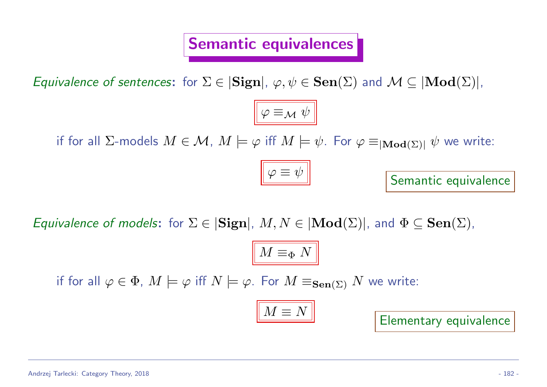### Semantic equivalences

Equivalence of sentences: for  $\Sigma \in |\mathbf{Sign}|, \varphi, \psi \in \mathbf{Sen}(\Sigma)$  and  $\mathcal{M} \subseteq |\mathbf{Mod}(\Sigma)|$ ,

 $\varphi \equiv_{\mathcal{M}} \psi$ 

 $\varphi \equiv \psi$ 

if for all ∑-models  $M\in\mathcal{M},\ M\models\varphi$  iff  $M\models\psi.$  For  $\varphi\equiv_{|{\bf Mod}(\Sigma)|}\psi$  we write:



Equivalence of models: for  $\Sigma \in |\mathbf{Sign}|$ ,  $M, N \in |\mathbf{Mod}(\Sigma)|$ , and  $\Phi \subseteq \mathbf{Sen}(\Sigma)$ ,

$$
\boxed{M \equiv_{\Phi} N}
$$

if for all  $\varphi \in \Phi$ ,  $M \models \varphi$  iff  $N \models \varphi$ . For  $M \equiv_{\textbf{Sen}(\Sigma)} N$  we write:

$$
M\equiv N
$$

Elementary equivalence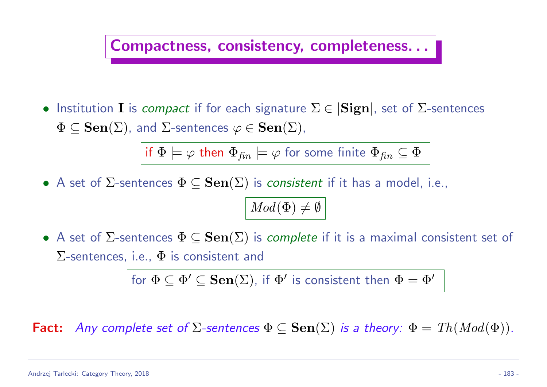#### Compactness, consistency, completeness. . .

• Institution I is *compact* if for each signature  $\Sigma \in |\mathbf{Sign}|$ , set of  $\Sigma$ -sentences  $\Phi \subseteq \mathbf{Sen}(\Sigma)$ , and  $\Sigma$ -sentences  $\varphi \in \mathbf{Sen}(\Sigma)$ ,

if  $\Phi \models \varphi$  then  $\Phi_{fin} \models \varphi$  for some finite  $\Phi_{fin} \subseteq \Phi$ 

• A set of  $\Sigma$ -sentences  $\Phi \subseteq \mathbf{Sen}(\Sigma)$  is *consistent* if it has a model, i.e.,

$$
\big|\,Mod(\Phi)\neq\emptyset\,\big|
$$

• A set of  $\Sigma$ -sentences  $\Phi \subseteq \textbf{Sen}(\Sigma)$  is *complete* if it is a maximal consistent set of  $\Sigma$ -sentences, i.e.,  $\Phi$  is consistent and

for  $\Phi \subseteq \Phi' \subseteq \mathbf{Sen}(\Sigma)$ , if  $\Phi'$  is consistent then  $\Phi = \Phi'$ 

Fact: Any complete set of  $\Sigma$ -sentences  $\Phi \subseteq \textbf{Sen}(\Sigma)$  is a theory:  $\Phi = Th(Mod(\Phi))$ .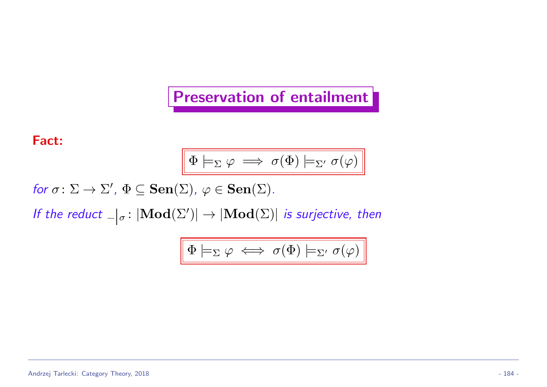#### Preservation of entailment

Fact:

$$
\boxed{\Phi \models_\Sigma \varphi \implies \sigma(\Phi) \models_{\Sigma'} \sigma(\varphi)}
$$

for  $\sigma \colon \Sigma \to \Sigma'$ ,  $\Phi \subseteq \textbf{Sen}(\Sigma)$ ,  $\varphi \in \textbf{Sen}(\Sigma)$ .

If the reduct  $\Box|_{\sigma}$ :  $|\textbf{Mod}(\Sigma')| \to |\textbf{Mod}(\Sigma)|$  is surjective, then

$$
\boxed{\Phi \models_\Sigma \varphi \iff \sigma(\Phi) \models_{\Sigma'} \sigma(\varphi)}
$$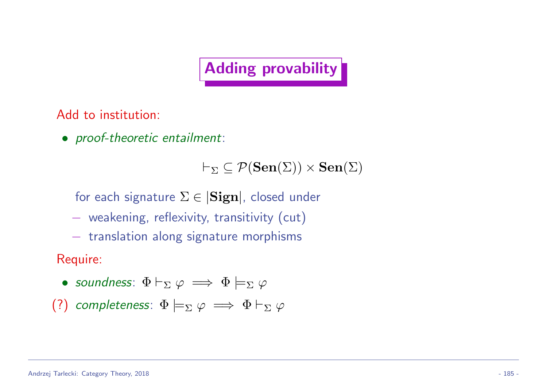### Adding provability

Add to institution:

• proof-theoretic entailment:

 $\vdash_{\Sigma} \subseteq \mathcal{P}(\mathbf{Sen}(\Sigma)) \times \mathbf{Sen}(\Sigma)$ 

for each signature  $\Sigma \in |\mathbf{Sign}|$ , closed under

- − weakening, reflexivity, transitivity (cut)
- − translation along signature morphisms

Require:

- soundness:  $\Phi \vdash_{\Sigma} \varphi \implies \Phi \models_{\Sigma} \varphi$
- (?) completeness:  $\Phi \models_{\Sigma} \varphi \implies \Phi \vdash_{\Sigma} \varphi$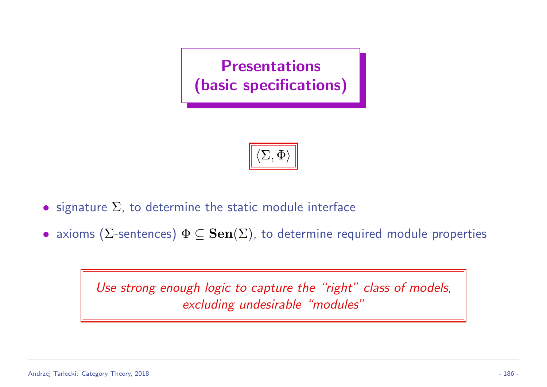



- signature  $\Sigma$ , to determine the static module interface
- axioms ( $\Sigma$ -sentences)  $\Phi \subseteq \mathbf{Sen}(\Sigma)$ , to determine required module properties

Use strong enough logic to capture the "right" class of models, excluding undesirable "modules"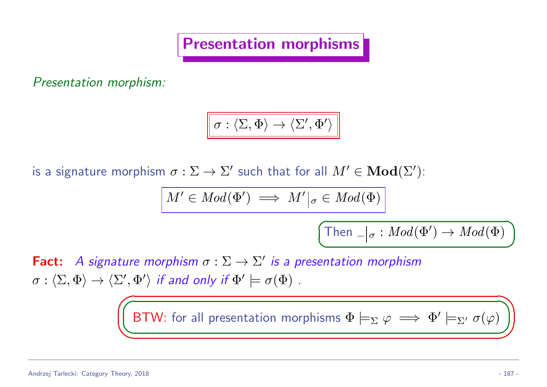Presentation morphisms

Presentation morphism:

$$
\boxed{\sigma:\langle\Sigma,\Phi\rangle\to\langle\Sigma',\Phi'\rangle}
$$

is a signature morphism  $\sigma: \Sigma \to \Sigma'$  such that for all  $M' \in \mathbf{Mod}(\Sigma')$ :

$$
M'\in Mod(\Phi')\implies M'\big|_{\sigma}\in Mod(\Phi)
$$

$$
\boxed{\mathsf{Then}\,\,{}_|\sigma:Mod(\Phi')\to Mod(\Phi)}
$$

Fact: A signature morphism  $\sigma : \Sigma \to \Sigma'$  is a presentation morphism  $\sigma:\langle\Sigma,\Phi\rangle\to \langle\Sigma',\Phi'\rangle$  if and only if  $\Phi'\models\sigma(\Phi)$  .

BTW: for all presentation morphisms  $\Phi \models_{\Sigma} \varphi \implies \Phi' \models_{\Sigma'} \sigma(\varphi)$ 

 $\sqrt{a}$ 

 $\sqrt{2}$ 

</u>

✍

✟

✠

☞

✌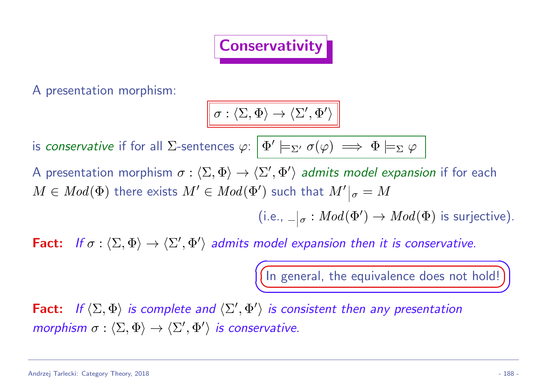

A presentation morphism:

$$
\boxed{\sigma:\langle\Sigma,\Phi\rangle\to\langle\Sigma',\Phi'\rangle}
$$

is *conservative* if for all ∑-sentences  $\varphi\colon\big|\,\Phi'\models_{\Sigma'} \sigma(\varphi)\implies \Phi \models_\Sigma \varphi$ 

A presentation morphism  $\sigma:\langle\Sigma,\Phi\rangle\to \langle\Sigma',\Phi'\rangle$  admits model expansion if for each  $M\in Mod(\Phi)$  there exists  $M'\in Mod(\Phi')$  such that  $M'|_{\sigma}=M$ 

(i.e.,  $\Box|_{\sigma}: Mod(\Phi') \to Mod(\Phi)$  is surjective).

Fact: If  $\sigma : \langle \Sigma, \Phi \rangle \to \langle \Sigma', \Phi' \rangle$  admits model expansion then it is conservative.

 $\sqrt{2}$ 

✍

☛ (In general, the equivalence does not hold!))

Fact: If  $\langle \Sigma, \Phi \rangle$  is complete and  $\langle \Sigma', \Phi' \rangle$  is consistent then any presentation morphism  $\sigma : \langle \Sigma, \Phi \rangle \to \langle \Sigma', \Phi' \rangle$  is conservative.

☞

 $\sum_{i=1}^{n}$ 

ta<br>Waliofariki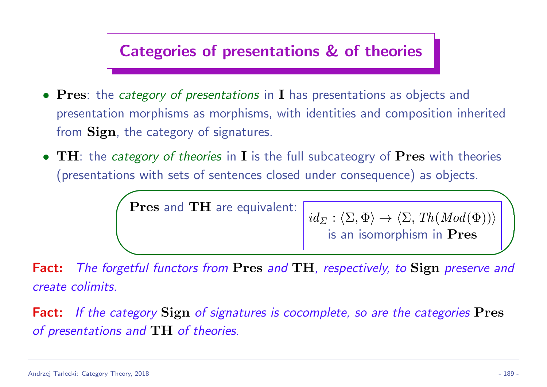### Categories of presentations & of theories

- Pres: the category of presentations in I has presentations as objects and presentation morphisms as morphisms, with identities and composition inherited from **Sign**, the category of signatures.
- TH: the category of theories in I is the full subcateogry of Pres with theories (presentations with sets of sentences closed under consequence) as objects.

★ Pres and TH are equivalent:

 $id_{\Sigma} : \langle \Sigma, \Phi \rangle \to \langle \Sigma, Th(Mod(\Phi)) \rangle$ is an isomorphism in Pres

✧ Fact: The forgetful functors from Pres and TH, respectively, to Sign preserve and create colimits.

Fact: If the category Sign of signatures is cocomplete, so are the categories Pres of presentations and TH of theories.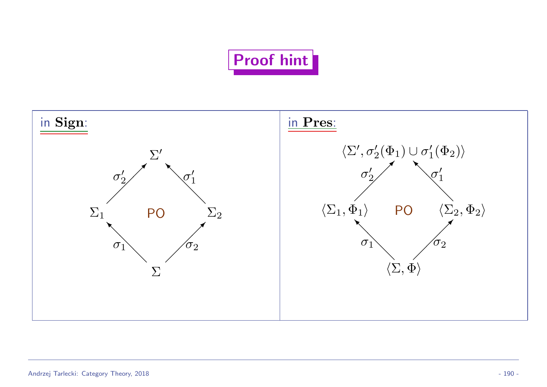## Proof hint

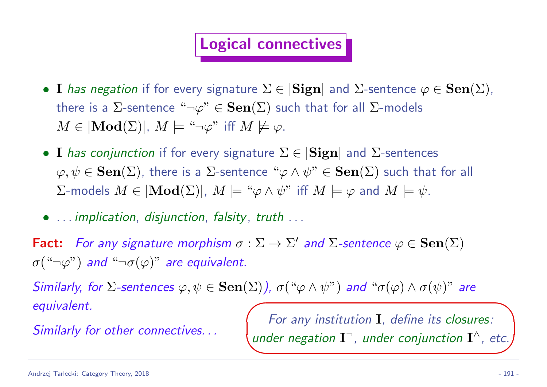### Logical connectives

- I has negation if for every signature  $\Sigma \in |\mathbf{Sign}|$  and  $\Sigma$ -sentence  $\varphi \in \mathbf{Sen}(\Sigma)$ , there is a  $\Sigma$ -sentence " $\neg \varphi$ "  $\in$   $\mathbf{Sen}(\Sigma)$  such that for all  $\Sigma$ -models  $M \in |Mod(\Sigma)|$ ,  $M \models ``\neg \varphi"$  iff  $M \not\models \varphi$ .
- I has conjunction if for every signature  $\Sigma \in |\mathbf{Sign}|$  and  $\Sigma$ -sentences  $\varphi, \psi \in \mathbf{Sen}(\Sigma)$ , there is a  $\Sigma$ -sentence " $\varphi \wedge \psi$ "  $\in \mathbf{Sen}(\Sigma)$  such that for all  $\Sigma$ -models  $M \in |\mathbf{Mod}(\Sigma)|$ ,  $M \models ``\varphi \land \psi"$  iff  $M \models \varphi$  and  $M \models \psi$ .
- ... implication, disjunction, falsity, truth ...

Fact: For any signature morphism  $\sigma : \Sigma \to \Sigma'$  and  $\Sigma$ -sentence  $\varphi \in \mathbf{Sen}(\Sigma)$  $\sigma($ "¬ $\varphi$ ") and "¬ $\sigma(\varphi)$ " are equivalent.

Similarly, for  $\Sigma$ -sentences  $\varphi, \psi \in \mathbf{Sen}(\Sigma)$ ),  $\sigma({\varphi \wedge \psi})$  and  $\varphi(\varphi) \wedge \sigma(\psi)$  are equivalent.  $\sqrt{\phantom{a}}$ 

 $\overbrace{\phantom{aaaaa}}^{\phantom{aaaa}}$ 

Similarly for other connectives...

For any institution I, define its closures: under negation  $\mathbf{I}^-$ , under conjunction  $\mathbf{I}^\wedge$ , etc.

∟<br>∟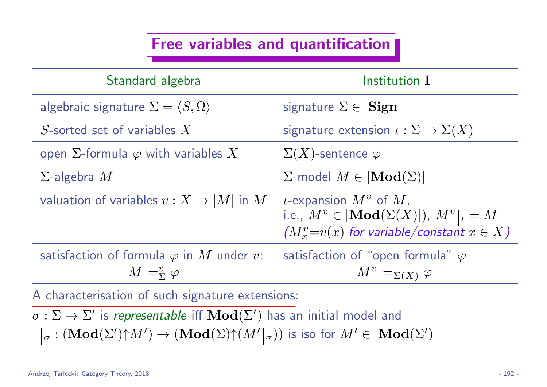### Free variables and quantification

| Standard algebra                                                                       | Institution I                                                                                                                                     |
|----------------------------------------------------------------------------------------|---------------------------------------------------------------------------------------------------------------------------------------------------|
| algebraic signature $\Sigma = \langle S, \Omega \rangle$                               | signature $\Sigma \in  \mathbf{Sign} $                                                                                                            |
| S-sorted set of variables $X$                                                          | signature extension $\iota : \Sigma \to \Sigma(X)$                                                                                                |
| open $\Sigma$ -formula $\varphi$ with variables X                                      | $\Sigma(X)$ -sentence $\varphi$                                                                                                                   |
| $\Sigma$ -algebra $M$                                                                  | $\Sigma$ -model $M \in  Mod(\Sigma) $                                                                                                             |
| valuation of variables $v: X \to  M $ in M                                             | <i>u</i> -expansion $M^v$ of $M$ ,<br>i.e., $M^v \in  \mathbf{Mod}(\Sigma(X) )$ , $M^v _v = M$<br>$(M_x^v=v(x)$ for variable/constant $x \in X$ ) |
| satisfaction of formula $\varphi$ in $M$ under $v$ :<br>$M \models^v_{\Sigma} \varphi$ | satisfaction of "open formula" $\varphi$<br>$M^v \models_{\Sigma(X)} \varphi$                                                                     |

A characterisation of such signature extensions:

 $\sigma: \Sigma \to \Sigma'$  is representable iff  $\mathbf{Mod}(\Sigma')$  has an initial model and  $\sigma: (\mathbf{Mod}(\Sigma'){\uparrow} M')\to (\mathbf{Mod}(\Sigma){\uparrow} (M'|_{\sigma}))$  is iso for  $M'\in |\mathbf{Mod}(\Sigma')|$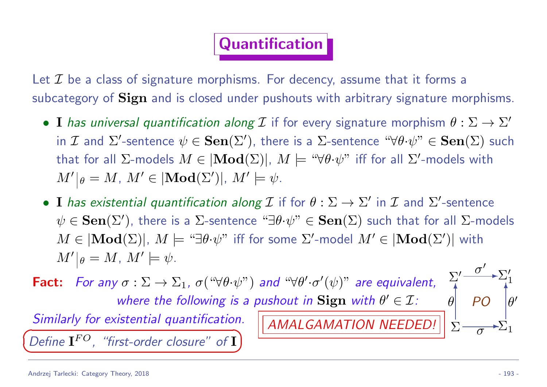### Quantification

Let  $\mathcal I$  be a class of signature morphisms. For decency, assume that it forms a subcategory of **Sign** and is closed under pushouts with arbitrary signature morphisms.

- I has universal quantification along  $\mathcal I$  if for every signature morphism  $\theta: \Sigma \to \Sigma'$ in  $\cal I$  and  $\Sigma'$ -sentence  $\psi\in{\bf Sen}(\Sigma')$ , there is a  $\Sigma$ -sentence " $\forall\theta\!\cdot\!\psi$ "  $\in{\bf Sen}(\Sigma)$  such that for all  $\Sigma$ -models  $M\in|{\rm\textbf{Mod}}(\Sigma)|,~M\models$  " $\forall \theta\!\cdot \!\psi$ " iff for all  $\Sigma'$ -models with  $M'|_{\theta} = M$ ,  $M' \in |\mathbf{Mod}(\Sigma')|$ ,  $M' \models \psi$ .
- I has existential quantification along  $\mathcal I$  if for  $\theta:\Sigma\to\Sigma'$  in  $\mathcal I$  and  $\Sigma'$ -sentence  $\psi\in{\bf Sen}(\Sigma')$ , there is a  $\Sigma$ -sentence " $\exists\theta\mathord{\cdot}\psi\text{''}\in{\bf Sen}(\Sigma)$  such that for all  $\Sigma\text{-models}$  $M \in |{\bf{Mod}}(\Sigma)|, \ M \models ``\exists \theta \mathord{\cdot} \psi"$  iff for some  $\Sigma'$ -model  $M' \in |{\bf{Mod}}(\Sigma')|$  with  $M' \vert_{\theta} = M$ ,  $M' \models \psi$ .

AMALGAMATION NEEDED!

**Fact:** For any  $\sigma : \Sigma \to \Sigma_1$ ,  $\sigma(" \forall \theta \cdot \psi")$  and " $\forall \theta' \cdot \sigma'(\psi)$ " are equivalent, where the following is a pushout in Sign with  $\theta' \in \mathcal{I}$ :

✠

Σ Σ  $\prime$  $\Sigma_1$ Σ  $\prime$ 1 ✻  $\theta$  $\mathbf{r}$  $\overline{\sigma}$  $\sigma$  $^{\prime}$  $\prime$ ✻  $\theta$  $\prime$ PO

Similarly for existential quantification. ✟

✡ Define  $\mathbf{I}^{FO}$ , "first-order closure" of  $\mathbf I$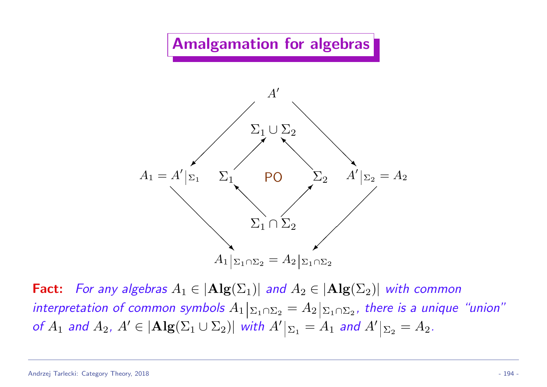Amalgamation for algebras



**Fact:** For any algebras  $A_1 \in |Alg(\Sigma_1)|$  and  $A_2 \in |Alg(\Sigma_2)|$  with common interpretation of common symbols  $A_1|_{\Sigma_1\cap\Sigma_2}=A_2|_{\Sigma_1\cap\Sigma_2}$ , there is a unique "union" of  $A_1$  and  $A_2$ ,  $A' \in |{\bf Alg}(\Sigma_1 \cup \Sigma_2)|$  with  $A'|_{\Sigma_1} = A_1$  and  $A'|_{\Sigma_2} = A_2$ .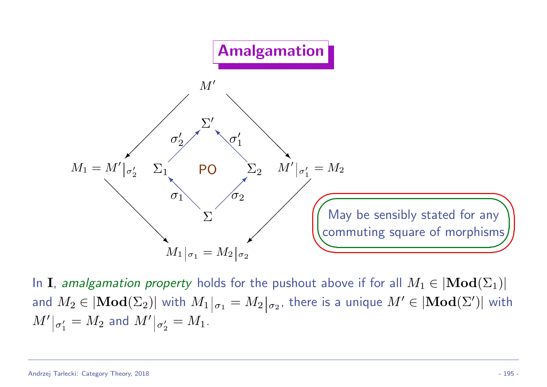

In **I**, amalgamation property holds for the pushout above if for all  $M_1 \in |\mathbf{Mod}(\Sigma_1)|$ and  $M_2\in |{\bf{Mod}}(\Sigma_2)|$  with  $M_1|_{\sigma_1}=M_2|_{\sigma_2}$ , there is a unique  $M'\in |{\bf{Mod}}(\Sigma')|$  with  $\overline{M'}|_{\sigma'_1}$  $\sigma_1'=M_2$  and  $M'\vert_{\sigma_2'}$  $n'_{2} = M_{1}.$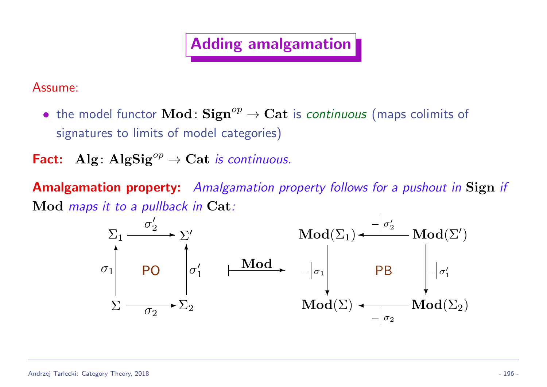### Adding amalgamation

Assume:

• the model functor  $\text{Mod} \colon \text{Sign}^{op} \to \text{Cat}$  is *continuous* (maps colimits of signatures to limits of model categories)

Fact: Alg:  $\text{Alg}\text{Sig}^{op} \to \text{Cat}$  is continuous.

Amalgamation property: Amalgamation property follows for a pushout in Sign if Mod *maps it to a pullback in* Cat:

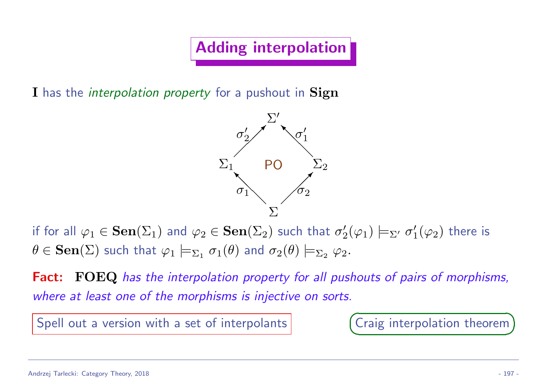Adding interpolation

I has the *interpolation property* for a pushout in Sign



if for all  $\varphi_1 \in \mathbf{Sen}(\Sigma_1)$  and  $\varphi_2 \in \mathbf{Sen}(\Sigma_2)$  such that  $\sigma_2'$  $\mathcal{H}_2'(\varphi_1) \models_{\Sigma'} \sigma_1'$  $_1^{\prime}(\varphi_2)$  there is  $\theta\in \mathbf{Sen}(\Sigma)$  such that  $\varphi_1\models_{\Sigma_1}\sigma_1(\theta)$  and  $\sigma_2(\theta)\models_{\Sigma_2}\varphi_2.$ 

Fact: FOEQ has the interpolation property for all pushouts of pairs of morphisms, where at least one of the morphisms is injective on sorts.

Spell out a version with a set of interpolants

 $\sqrt{a}$  $\overline{\phantom{0}}$ ✟ Craig interpolation theorem)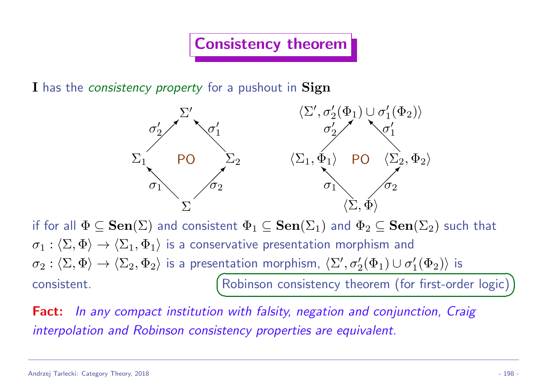#### Consistency theorem

I has the *consistency property* for a pushout in Sign



if for all  $\Phi \subseteq \mathbf{Sen}(\Sigma)$  and consistent  $\Phi_1 \subseteq \mathbf{Sen}(\Sigma_1)$  and  $\Phi_2 \subseteq \mathbf{Sen}(\Sigma_2)$  such that  $\sigma_1 : \langle \Sigma, \Phi \rangle \to \langle \Sigma_1, \Phi_1 \rangle$  is a conservative presentation morphism and  $\sigma_2:\langle\Sigma,\Phi\rangle\to\langle\Sigma_2,\Phi_2\rangle$  is a presentation morphism,  $\langle\Sigma',\sigma_2'(\Phi_1)\cup\sigma_1'$  $_1^{\prime}(\Phi_2)\rangle$  is consistent.  $\sqrt{a}$  $\overline{\phantom{0}}$ Robinson consistency theorem (for first-order logic)

Fact: In any compact institution with falsity, negation and conjunction, Craig interpolation and Robinson consistency properties are equivalent.

✟

✠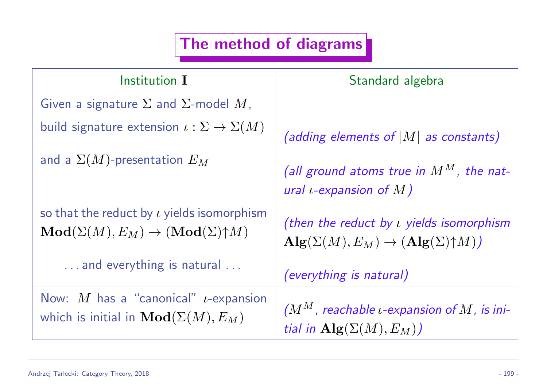### The method of diagrams

| Institution I                                                                                                            | Standard algebra                                                                                                       |
|--------------------------------------------------------------------------------------------------------------------------|------------------------------------------------------------------------------------------------------------------------|
| Given a signature $\Sigma$ and $\Sigma$ -model M,                                                                        |                                                                                                                        |
| build signature extension $\iota : \Sigma \to \Sigma(M)$                                                                 | (adding elements of $ M $ as constants)                                                                                |
| and a $\Sigma(M)$ -presentation $E_M$                                                                                    | (all ground atoms true in $M^M$ , the nat-<br>ural <i>t</i> -expansion of $M$ )                                        |
| so that the reduct by $\iota$ yields isomorphism<br>$\mathbf{Mod}(\Sigma(M), E_M) \to (\mathbf{Mod}(\Sigma) \uparrow M)$ | (then the reduct by $\iota$ yields isomorphism<br>$\mathbf{Alg}(\Sigma(M), E_M) \to (\mathbf{Alg}(\Sigma) \uparrow M)$ |
| and everything is natural                                                                                                | <i>(everything is natural)</i>                                                                                         |
| Now: M has a "canonical" $\iota$ -expansion<br>which is initial in $\mathbf{Mod}(\Sigma(M),E_M)$                         | $(M^M,$ reachable <i>u</i> -expansion of M, is ini-<br>tial in $\mathbf{Alg}(\Sigma(M), E_M)$                          |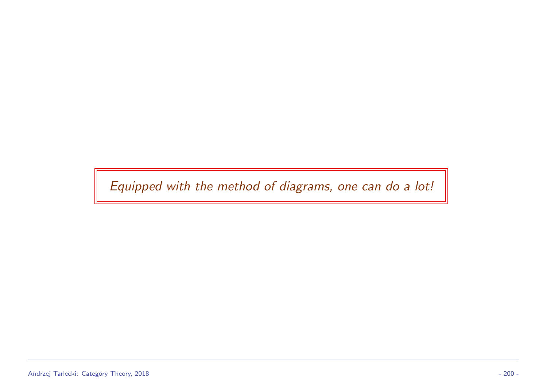Equipped with the method of diagrams, one can do a lot!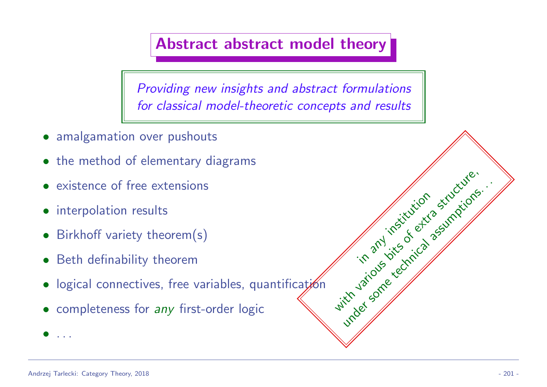#### Abstract abstract model theory

Providing new insights and abstract formulations for classical model-theoretic concepts and results

- amalgamation over pushouts
- the method of elementary diagrams
- existence of free extensions
- interpolation results
- Birkhoff variety theorem(s)
- Beth definability theorem
- logical connectives, free variables, quantification
- completeness for any first-order logic

• . . .

in any institution

with various executive assumption.

under some technical assumptions.